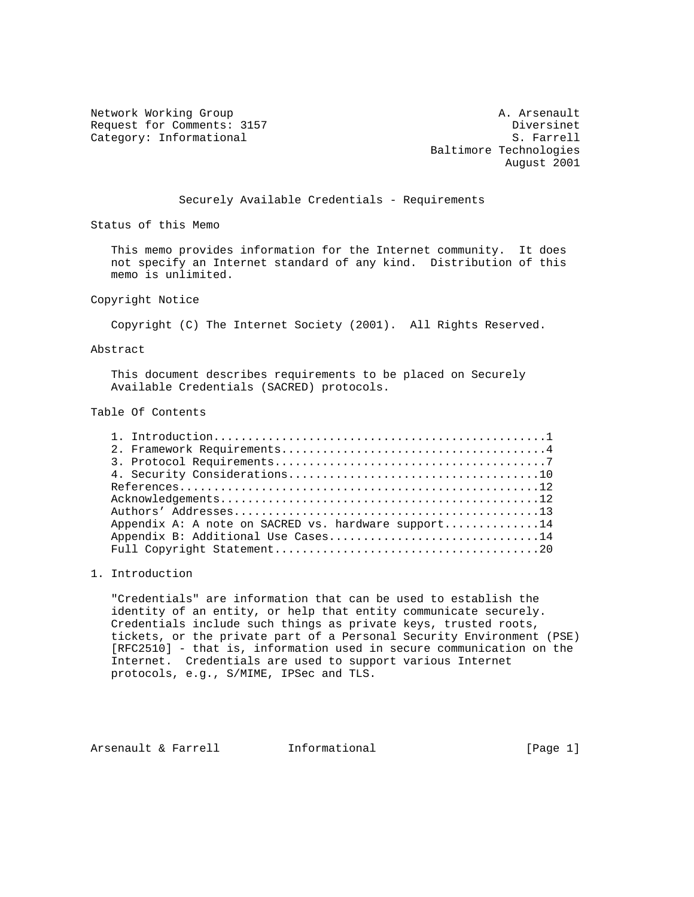Network Working Group and A. Arsenault A. Arsenault Request for Comments: 3157 Diversinet Category: Informational S. Farrell

 Baltimore Technologies August 2001

## Securely Available Credentials - Requirements

Status of this Memo

 This memo provides information for the Internet community. It does not specify an Internet standard of any kind. Distribution of this memo is unlimited.

Copyright Notice

Copyright (C) The Internet Society (2001). All Rights Reserved.

### Abstract

 This document describes requirements to be placed on Securely Available Credentials (SACRED) protocols.

# Table Of Contents

| Appendix A: A note on SACRED vs. hardware support14 |
|-----------------------------------------------------|
| Appendix B: Additional Use Cases14                  |
|                                                     |

## 1. Introduction

 "Credentials" are information that can be used to establish the identity of an entity, or help that entity communicate securely. Credentials include such things as private keys, trusted roots, tickets, or the private part of a Personal Security Environment (PSE) [RFC2510] - that is, information used in secure communication on the Internet. Credentials are used to support various Internet protocols, e.g., S/MIME, IPSec and TLS.

Arsenault & Farrell **Informational Informational** [Page 1]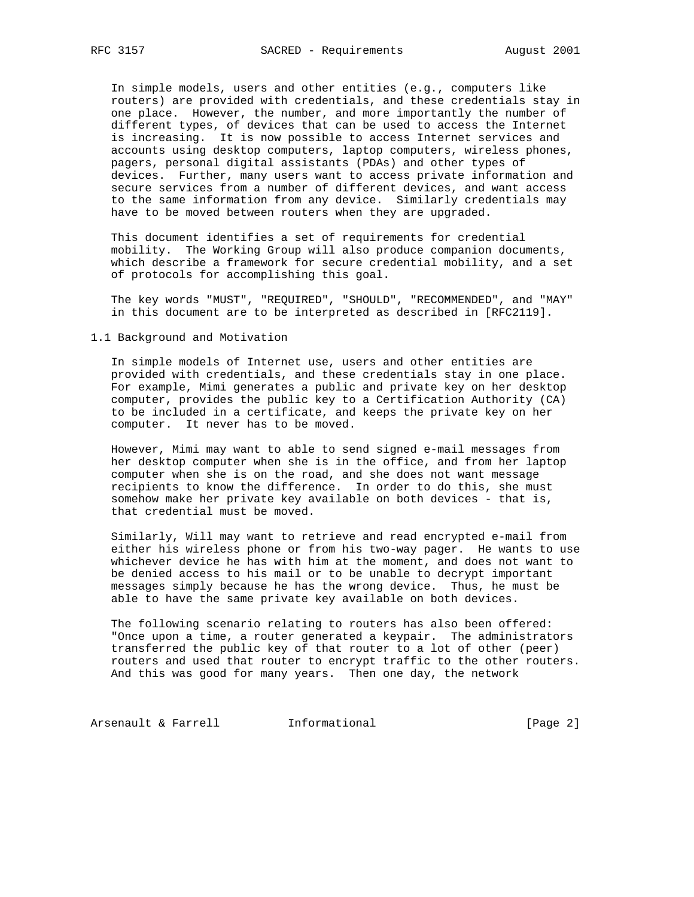In simple models, users and other entities (e.g., computers like routers) are provided with credentials, and these credentials stay in one place. However, the number, and more importantly the number of different types, of devices that can be used to access the Internet is increasing. It is now possible to access Internet services and accounts using desktop computers, laptop computers, wireless phones, pagers, personal digital assistants (PDAs) and other types of devices. Further, many users want to access private information and secure services from a number of different devices, and want access to the same information from any device. Similarly credentials may have to be moved between routers when they are upgraded.

 This document identifies a set of requirements for credential mobility. The Working Group will also produce companion documents, which describe a framework for secure credential mobility, and a set of protocols for accomplishing this goal.

 The key words "MUST", "REQUIRED", "SHOULD", "RECOMMENDED", and "MAY" in this document are to be interpreted as described in [RFC2119].

### 1.1 Background and Motivation

 In simple models of Internet use, users and other entities are provided with credentials, and these credentials stay in one place. For example, Mimi generates a public and private key on her desktop computer, provides the public key to a Certification Authority (CA) to be included in a certificate, and keeps the private key on her computer. It never has to be moved.

 However, Mimi may want to able to send signed e-mail messages from her desktop computer when she is in the office, and from her laptop computer when she is on the road, and she does not want message recipients to know the difference. In order to do this, she must somehow make her private key available on both devices - that is, that credential must be moved.

 Similarly, Will may want to retrieve and read encrypted e-mail from either his wireless phone or from his two-way pager. He wants to use whichever device he has with him at the moment, and does not want to be denied access to his mail or to be unable to decrypt important messages simply because he has the wrong device. Thus, he must be able to have the same private key available on both devices.

 The following scenario relating to routers has also been offered: "Once upon a time, a router generated a keypair. The administrators transferred the public key of that router to a lot of other (peer) routers and used that router to encrypt traffic to the other routers. And this was good for many years. Then one day, the network

Arsenault & Farrell **Informational Informational** [Page 2]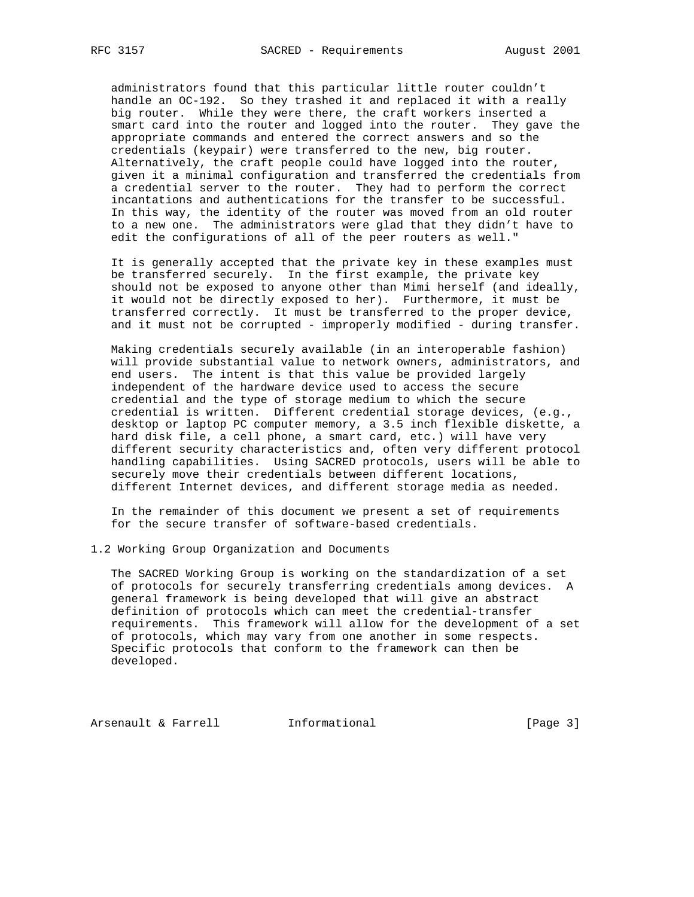administrators found that this particular little router couldn't handle an OC-192. So they trashed it and replaced it with a really big router. While they were there, the craft workers inserted a smart card into the router and logged into the router. They gave the appropriate commands and entered the correct answers and so the credentials (keypair) were transferred to the new, big router. Alternatively, the craft people could have logged into the router, given it a minimal configuration and transferred the credentials from a credential server to the router. They had to perform the correct incantations and authentications for the transfer to be successful. In this way, the identity of the router was moved from an old router to a new one. The administrators were glad that they didn't have to edit the configurations of all of the peer routers as well."

 It is generally accepted that the private key in these examples must be transferred securely. In the first example, the private key should not be exposed to anyone other than Mimi herself (and ideally, it would not be directly exposed to her). Furthermore, it must be transferred correctly. It must be transferred to the proper device, and it must not be corrupted - improperly modified - during transfer.

 Making credentials securely available (in an interoperable fashion) will provide substantial value to network owners, administrators, and end users. The intent is that this value be provided largely independent of the hardware device used to access the secure credential and the type of storage medium to which the secure credential is written. Different credential storage devices, (e.g., desktop or laptop PC computer memory, a 3.5 inch flexible diskette, a hard disk file, a cell phone, a smart card, etc.) will have very different security characteristics and, often very different protocol handling capabilities. Using SACRED protocols, users will be able to securely move their credentials between different locations, different Internet devices, and different storage media as needed.

 In the remainder of this document we present a set of requirements for the secure transfer of software-based credentials.

1.2 Working Group Organization and Documents

 The SACRED Working Group is working on the standardization of a set of protocols for securely transferring credentials among devices. A general framework is being developed that will give an abstract definition of protocols which can meet the credential-transfer requirements. This framework will allow for the development of a set of protocols, which may vary from one another in some respects. Specific protocols that conform to the framework can then be developed.

Arsenault & Farrell **Informational** [Page 3]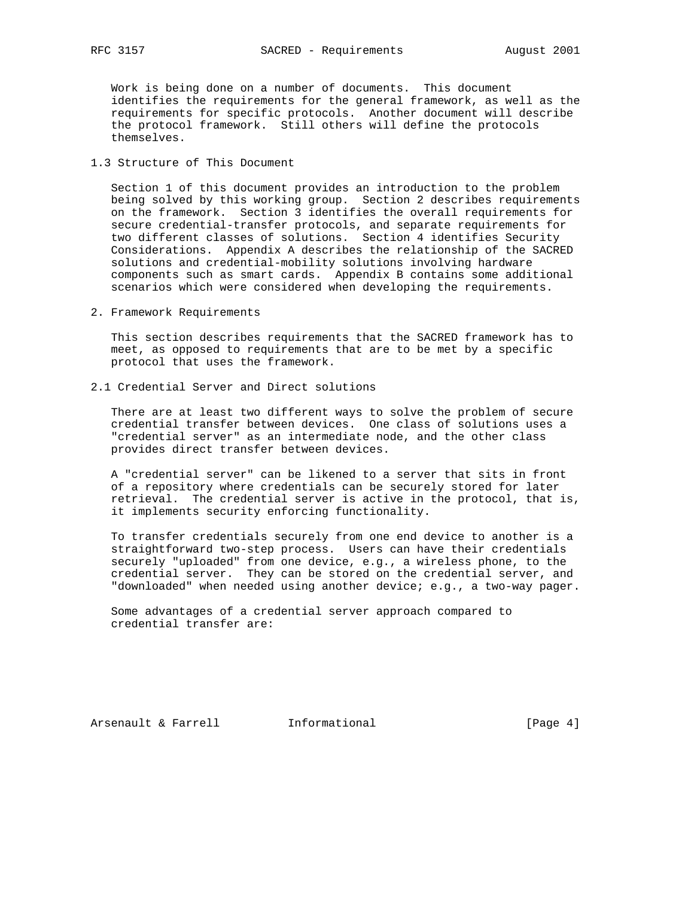Work is being done on a number of documents. This document identifies the requirements for the general framework, as well as the requirements for specific protocols. Another document will describe the protocol framework. Still others will define the protocols themselves.

# 1.3 Structure of This Document

 Section 1 of this document provides an introduction to the problem being solved by this working group. Section 2 describes requirements on the framework. Section 3 identifies the overall requirements for secure credential-transfer protocols, and separate requirements for two different classes of solutions. Section 4 identifies Security Considerations. Appendix A describes the relationship of the SACRED solutions and credential-mobility solutions involving hardware components such as smart cards. Appendix B contains some additional scenarios which were considered when developing the requirements.

2. Framework Requirements

 This section describes requirements that the SACRED framework has to meet, as opposed to requirements that are to be met by a specific protocol that uses the framework.

2.1 Credential Server and Direct solutions

 There are at least two different ways to solve the problem of secure credential transfer between devices. One class of solutions uses a "credential server" as an intermediate node, and the other class provides direct transfer between devices.

 A "credential server" can be likened to a server that sits in front of a repository where credentials can be securely stored for later retrieval. The credential server is active in the protocol, that is, it implements security enforcing functionality.

 To transfer credentials securely from one end device to another is a straightforward two-step process. Users can have their credentials securely "uploaded" from one device, e.g., a wireless phone, to the credential server. They can be stored on the credential server, and "downloaded" when needed using another device; e.g., a two-way pager.

 Some advantages of a credential server approach compared to credential transfer are:

Arsenault & Farrell **Informational Informational** [Page 4]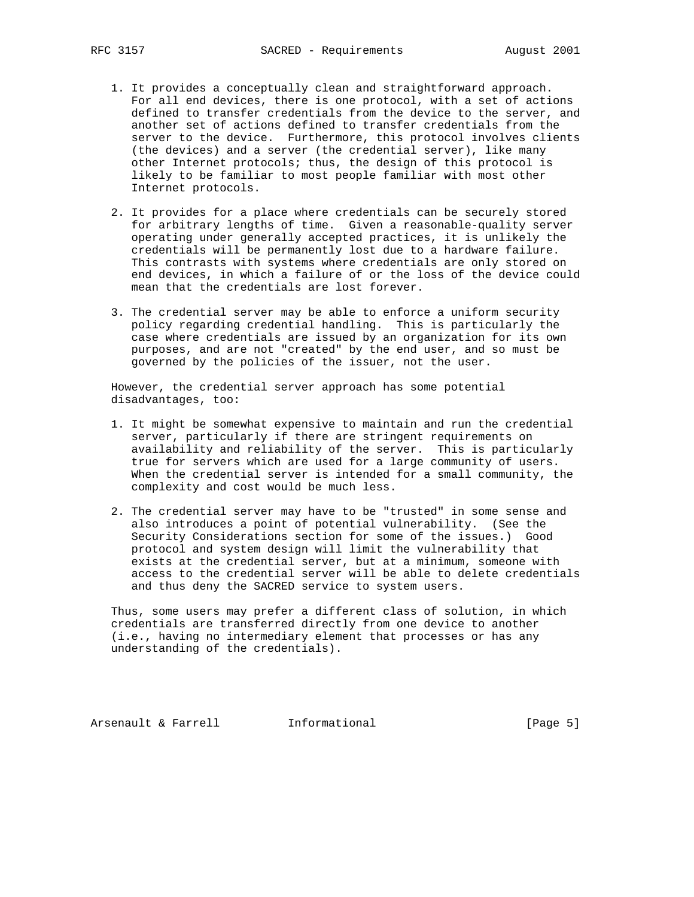- 1. It provides a conceptually clean and straightforward approach. For all end devices, there is one protocol, with a set of actions defined to transfer credentials from the device to the server, and another set of actions defined to transfer credentials from the server to the device. Furthermore, this protocol involves clients (the devices) and a server (the credential server), like many other Internet protocols; thus, the design of this protocol is likely to be familiar to most people familiar with most other Internet protocols.
- 2. It provides for a place where credentials can be securely stored for arbitrary lengths of time. Given a reasonable-quality server operating under generally accepted practices, it is unlikely the credentials will be permanently lost due to a hardware failure. This contrasts with systems where credentials are only stored on end devices, in which a failure of or the loss of the device could mean that the credentials are lost forever.
- 3. The credential server may be able to enforce a uniform security policy regarding credential handling. This is particularly the case where credentials are issued by an organization for its own purposes, and are not "created" by the end user, and so must be governed by the policies of the issuer, not the user.

 However, the credential server approach has some potential disadvantages, too:

- 1. It might be somewhat expensive to maintain and run the credential server, particularly if there are stringent requirements on availability and reliability of the server. This is particularly true for servers which are used for a large community of users. When the credential server is intended for a small community, the complexity and cost would be much less.
- 2. The credential server may have to be "trusted" in some sense and also introduces a point of potential vulnerability. (See the Security Considerations section for some of the issues.) Good protocol and system design will limit the vulnerability that exists at the credential server, but at a minimum, someone with access to the credential server will be able to delete credentials and thus deny the SACRED service to system users.

 Thus, some users may prefer a different class of solution, in which credentials are transferred directly from one device to another (i.e., having no intermediary element that processes or has any understanding of the credentials).

Arsenault & Farrell **Informational Informational** [Page 5]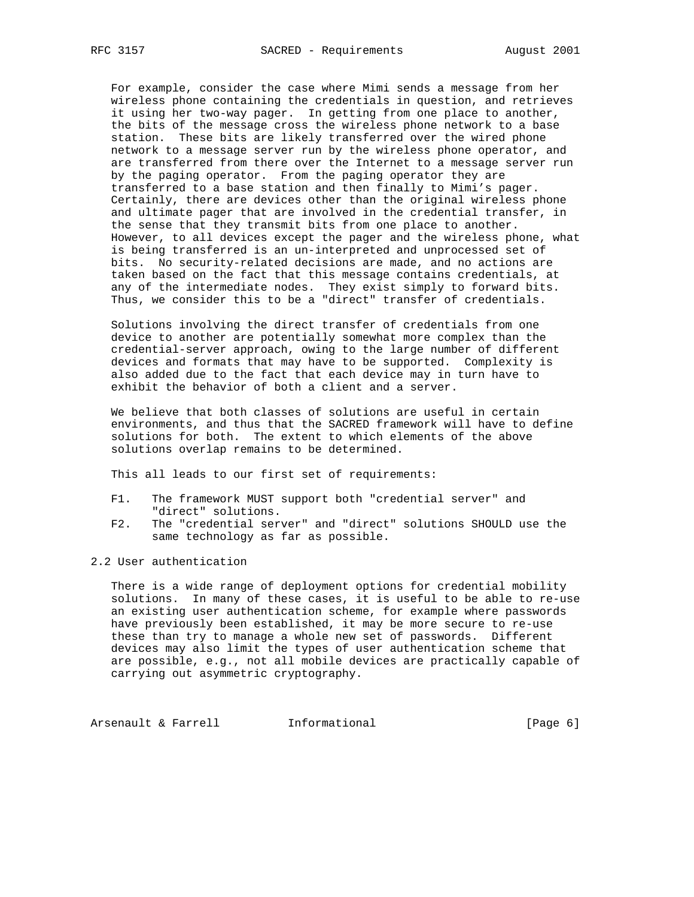For example, consider the case where Mimi sends a message from her wireless phone containing the credentials in question, and retrieves it using her two-way pager. In getting from one place to another, the bits of the message cross the wireless phone network to a base station. These bits are likely transferred over the wired phone network to a message server run by the wireless phone operator, and are transferred from there over the Internet to a message server run by the paging operator. From the paging operator they are transferred to a base station and then finally to Mimi's pager. Certainly, there are devices other than the original wireless phone and ultimate pager that are involved in the credential transfer, in the sense that they transmit bits from one place to another. However, to all devices except the pager and the wireless phone, what is being transferred is an un-interpreted and unprocessed set of bits. No security-related decisions are made, and no actions are taken based on the fact that this message contains credentials, at any of the intermediate nodes. They exist simply to forward bits. Thus, we consider this to be a "direct" transfer of credentials.

 Solutions involving the direct transfer of credentials from one device to another are potentially somewhat more complex than the credential-server approach, owing to the large number of different devices and formats that may have to be supported. Complexity is also added due to the fact that each device may in turn have to exhibit the behavior of both a client and a server.

 We believe that both classes of solutions are useful in certain environments, and thus that the SACRED framework will have to define solutions for both. The extent to which elements of the above solutions overlap remains to be determined.

This all leads to our first set of requirements:

- F1. The framework MUST support both "credential server" and "direct" solutions.
- F2. The "credential server" and "direct" solutions SHOULD use the same technology as far as possible.
- 2.2 User authentication

 There is a wide range of deployment options for credential mobility solutions. In many of these cases, it is useful to be able to re-use an existing user authentication scheme, for example where passwords have previously been established, it may be more secure to re-use these than try to manage a whole new set of passwords. Different devices may also limit the types of user authentication scheme that are possible, e.g., not all mobile devices are practically capable of carrying out asymmetric cryptography.

Arsenault & Farrell **Informational Informational** [Page 6]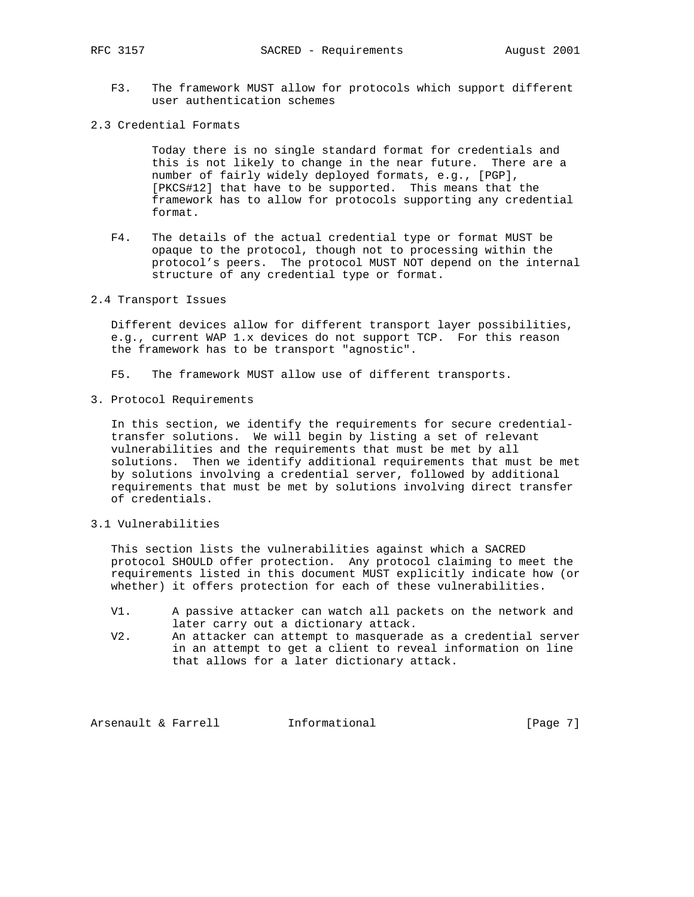- F3. The framework MUST allow for protocols which support different user authentication schemes
- 2.3 Credential Formats

 Today there is no single standard format for credentials and this is not likely to change in the near future. There are a number of fairly widely deployed formats, e.g., [PGP], [PKCS#12] that have to be supported. This means that the framework has to allow for protocols supporting any credential format.

- F4. The details of the actual credential type or format MUST be opaque to the protocol, though not to processing within the protocol's peers. The protocol MUST NOT depend on the internal structure of any credential type or format.
- 2.4 Transport Issues

 Different devices allow for different transport layer possibilities, e.g., current WAP 1.x devices do not support TCP. For this reason the framework has to be transport "agnostic".

- F5. The framework MUST allow use of different transports.
- 3. Protocol Requirements

 In this section, we identify the requirements for secure credential transfer solutions. We will begin by listing a set of relevant vulnerabilities and the requirements that must be met by all solutions. Then we identify additional requirements that must be met by solutions involving a credential server, followed by additional requirements that must be met by solutions involving direct transfer of credentials.

3.1 Vulnerabilities

 This section lists the vulnerabilities against which a SACRED protocol SHOULD offer protection. Any protocol claiming to meet the requirements listed in this document MUST explicitly indicate how (or whether) it offers protection for each of these vulnerabilities.

- V1. A passive attacker can watch all packets on the network and later carry out a dictionary attack.
- V2. An attacker can attempt to masquerade as a credential server in an attempt to get a client to reveal information on line that allows for a later dictionary attack.

Arsenault & Farrell **Informational Informational** [Page 7]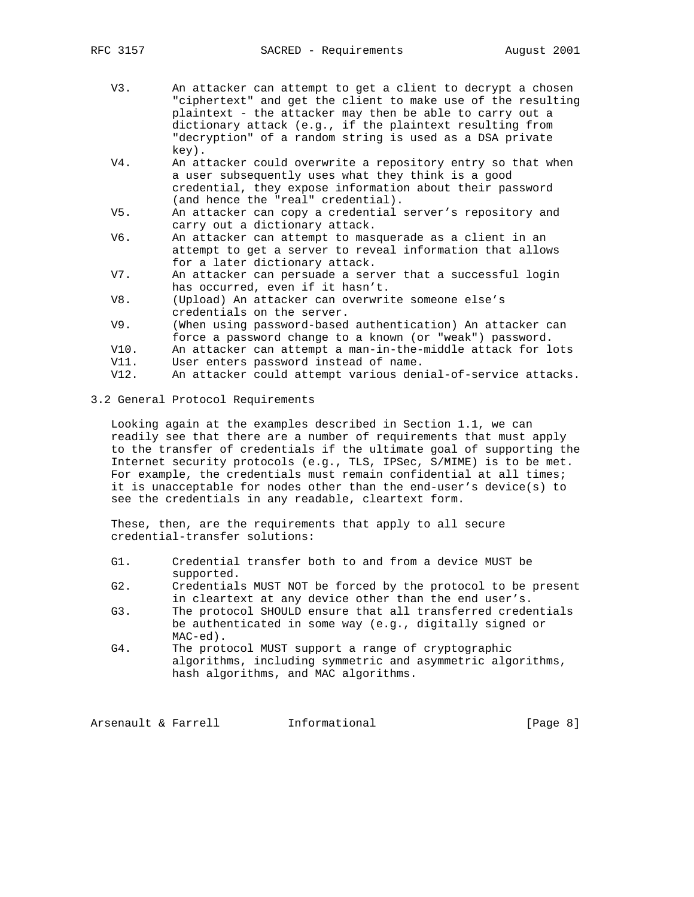- V3. An attacker can attempt to get a client to decrypt a chosen "ciphertext" and get the client to make use of the resulting plaintext - the attacker may then be able to carry out a dictionary attack (e.g., if the plaintext resulting from "decryption" of a random string is used as a DSA private key).
- V4. An attacker could overwrite a repository entry so that when a user subsequently uses what they think is a good credential, they expose information about their password (and hence the "real" credential).
- V5. An attacker can copy a credential server's repository and carry out a dictionary attack.<br>V6. An attacker can attempt to mase
- An attacker can attempt to masquerade as a client in an attempt to get a server to reveal information that allows for a later dictionary attack.
- V7. An attacker can persuade a server that a successful login has occurred, even if it hasn't.
- V8. (Upload) An attacker can overwrite someone else's credentials on the server.
- V9. (When using password-based authentication) An attacker can force a password change to a known (or "weak") password.
- V10. An attacker can attempt a man-in-the-middle attack for lots
- V11. User enters password instead of name.
- V12. An attacker could attempt various denial-of-service attacks.
- 3.2 General Protocol Requirements

 Looking again at the examples described in Section 1.1, we can readily see that there are a number of requirements that must apply to the transfer of credentials if the ultimate goal of supporting the Internet security protocols (e.g., TLS, IPSec, S/MIME) is to be met. For example, the credentials must remain confidential at all times; it is unacceptable for nodes other than the end-user's device(s) to see the credentials in any readable, cleartext form.

 These, then, are the requirements that apply to all secure credential-transfer solutions:

- G1. Credential transfer both to and from a device MUST be supported.
- G2. Credentials MUST NOT be forced by the protocol to be present in cleartext at any device other than the end user's.
- G3. The protocol SHOULD ensure that all transferred credentials be authenticated in some way (e.g., digitally signed or MAC-ed).
- G4. The protocol MUST support a range of cryptographic algorithms, including symmetric and asymmetric algorithms, hash algorithms, and MAC algorithms.

Arsenault & Farrell **Informational Informational** [Page 8]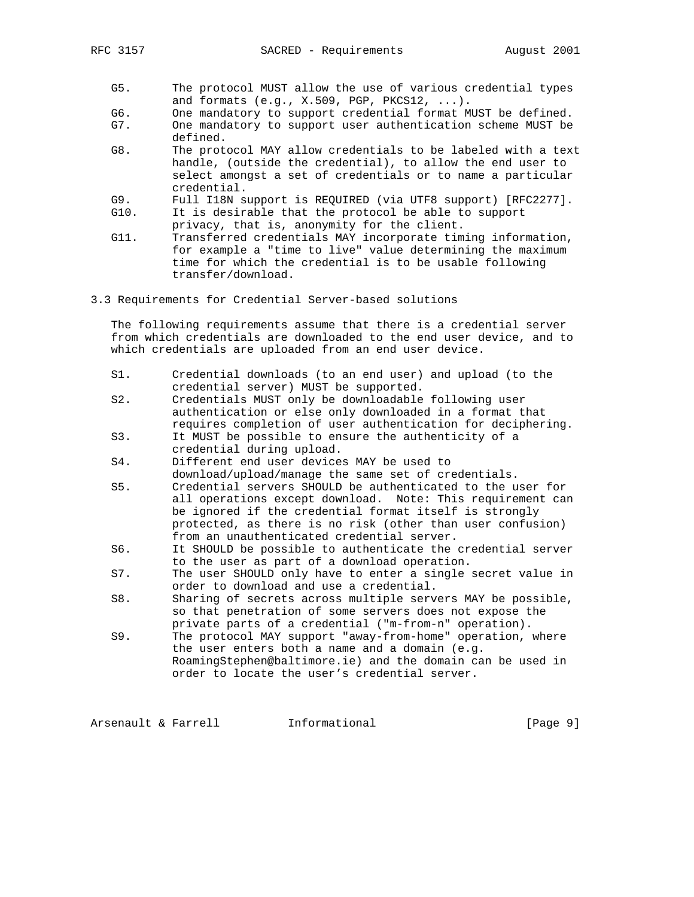- G5. The protocol MUST allow the use of various credential types and formats (e.g., X.509, PGP, PKCS12, ...).
- G6. One mandatory to support credential format MUST be defined.<br>G7. One mandatory to support user authentication scheme MUST be
- One mandatory to support user authentication scheme MUST be defined.
- G8. The protocol MAY allow credentials to be labeled with a text handle, (outside the credential), to allow the end user to select amongst a set of credentials or to name a particular credential.
- G9. Full I18N support is REQUIRED (via UTF8 support) [RFC2277].
- G10. It is desirable that the protocol be able to support
- privacy, that is, anonymity for the client.<br>Gll. Transferred credentials MAY incorporate tim Transferred credentials MAY incorporate timing information, for example a "time to live" value determining the maximum time for which the credential is to be usable following transfer/download.
- 3.3 Requirements for Credential Server-based solutions

 The following requirements assume that there is a credential server from which credentials are downloaded to the end user device, and to which credentials are uploaded from an end user device.

- S1. Credential downloads (to an end user) and upload (to the credential server) MUST be supported.
- S2. Credentials MUST only be downloadable following user authentication or else only downloaded in a format that requires completion of user authentication for deciphering.
- S3. It MUST be possible to ensure the authenticity of a credential during upload.
- S4. Different end user devices MAY be used to download/upload/manage the same set of credentials.
- S5. Credential servers SHOULD be authenticated to the user for all operations except download. Note: This requirement can be ignored if the credential format itself is strongly protected, as there is no risk (other than user confusion) from an unauthenticated credential server.
- S6. It SHOULD be possible to authenticate the credential server to the user as part of a download operation.
- S7. The user SHOULD only have to enter a single secret value in order to download and use a credential.
- S8. Sharing of secrets across multiple servers MAY be possible, so that penetration of some servers does not expose the private parts of a credential ("m-from-n" operation).
- S9. The protocol MAY support "away-from-home" operation, where the user enters both a name and a domain (e.g. RoamingStephen@baltimore.ie) and the domain can be used in order to locate the user's credential server.

Arsenault & Farrell **Informational Informational** [Page 9]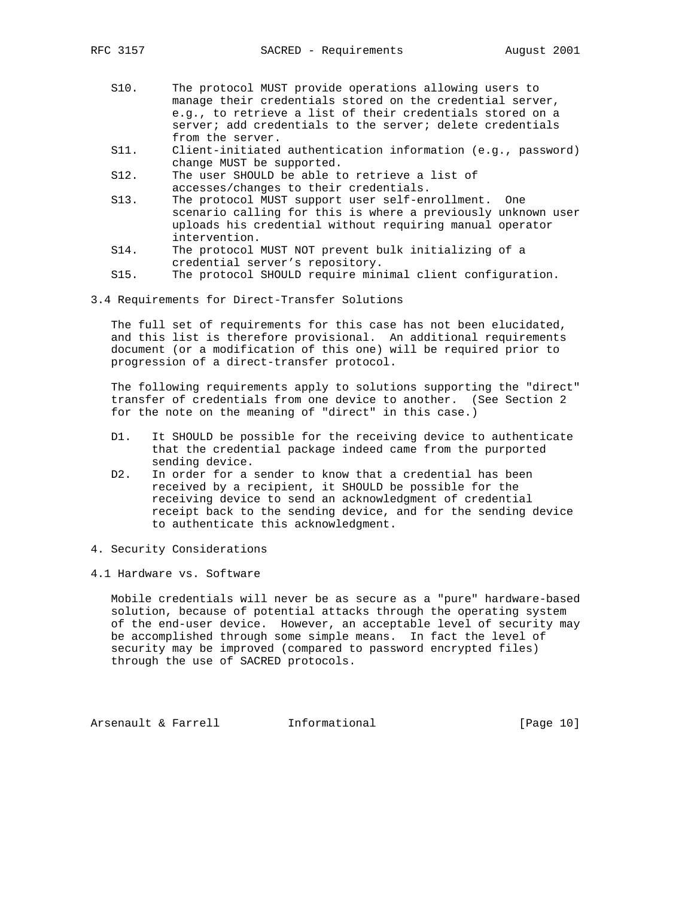- S10. The protocol MUST provide operations allowing users to manage their credentials stored on the credential server, e.g., to retrieve a list of their credentials stored on a server; add credentials to the server; delete credentials from the server.
- S11. Client-initiated authentication information (e.g., password) change MUST be supported.

 S12. The user SHOULD be able to retrieve a list of accesses/changes to their credentials.

- S13. The protocol MUST support user self-enrollment. One scenario calling for this is where a previously unknown user uploads his credential without requiring manual operator intervention.
- S14. The protocol MUST NOT prevent bulk initializing of a credential server's repository.
- S15. The protocol SHOULD require minimal client configuration.
- 3.4 Requirements for Direct-Transfer Solutions

 The full set of requirements for this case has not been elucidated, and this list is therefore provisional. An additional requirements document (or a modification of this one) will be required prior to progression of a direct-transfer protocol.

 The following requirements apply to solutions supporting the "direct" transfer of credentials from one device to another. (See Section 2 for the note on the meaning of "direct" in this case.)

- D1. It SHOULD be possible for the receiving device to authenticate that the credential package indeed came from the purported sending device.
- D2. In order for a sender to know that a credential has been received by a recipient, it SHOULD be possible for the receiving device to send an acknowledgment of credential receipt back to the sending device, and for the sending device to authenticate this acknowledgment.
- 4. Security Considerations
- 4.1 Hardware vs. Software

 Mobile credentials will never be as secure as a "pure" hardware-based solution, because of potential attacks through the operating system of the end-user device. However, an acceptable level of security may be accomplished through some simple means. In fact the level of security may be improved (compared to password encrypted files) through the use of SACRED protocols.

Arsenault & Farrell **Informational** [Page 10]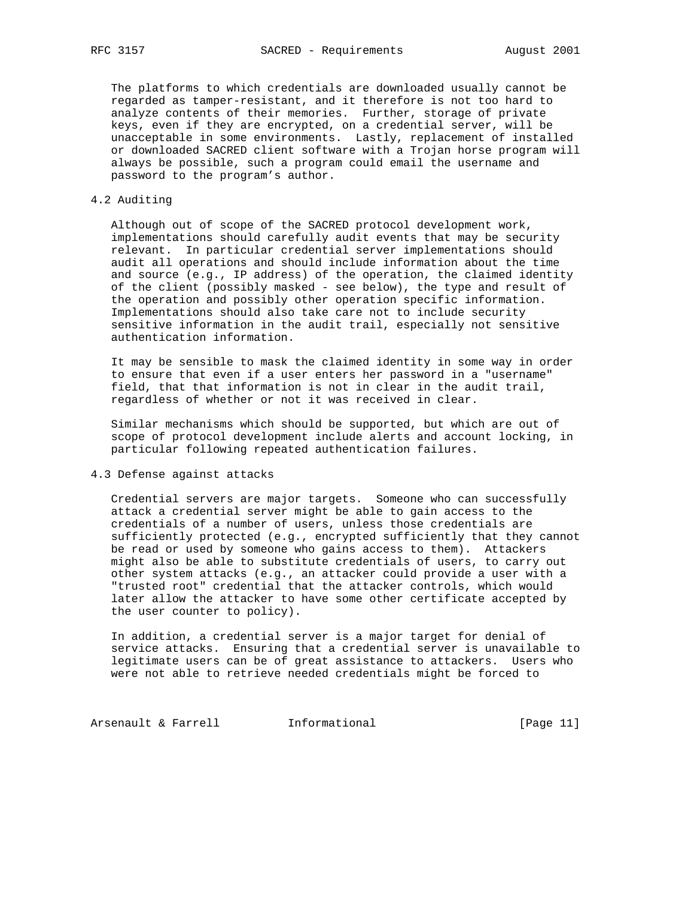The platforms to which credentials are downloaded usually cannot be regarded as tamper-resistant, and it therefore is not too hard to analyze contents of their memories. Further, storage of private keys, even if they are encrypted, on a credential server, will be unacceptable in some environments. Lastly, replacement of installed or downloaded SACRED client software with a Trojan horse program will always be possible, such a program could email the username and password to the program's author.

### 4.2 Auditing

 Although out of scope of the SACRED protocol development work, implementations should carefully audit events that may be security relevant. In particular credential server implementations should audit all operations and should include information about the time and source (e.g., IP address) of the operation, the claimed identity of the client (possibly masked - see below), the type and result of the operation and possibly other operation specific information. Implementations should also take care not to include security sensitive information in the audit trail, especially not sensitive authentication information.

 It may be sensible to mask the claimed identity in some way in order to ensure that even if a user enters her password in a "username" field, that that information is not in clear in the audit trail, regardless of whether or not it was received in clear.

 Similar mechanisms which should be supported, but which are out of scope of protocol development include alerts and account locking, in particular following repeated authentication failures.

4.3 Defense against attacks

 Credential servers are major targets. Someone who can successfully attack a credential server might be able to gain access to the credentials of a number of users, unless those credentials are sufficiently protected (e.g., encrypted sufficiently that they cannot be read or used by someone who gains access to them). Attackers might also be able to substitute credentials of users, to carry out other system attacks (e.g., an attacker could provide a user with a "trusted root" credential that the attacker controls, which would later allow the attacker to have some other certificate accepted by the user counter to policy).

 In addition, a credential server is a major target for denial of service attacks. Ensuring that a credential server is unavailable to legitimate users can be of great assistance to attackers. Users who were not able to retrieve needed credentials might be forced to

Arsenault & Farrell **Informational Informational** [Page 11]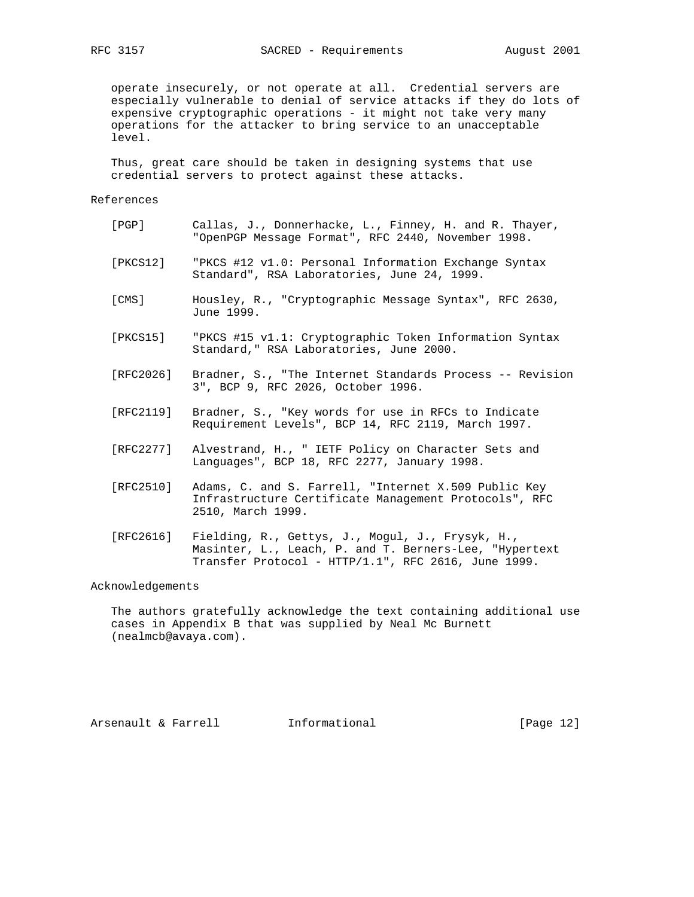operate insecurely, or not operate at all. Credential servers are especially vulnerable to denial of service attacks if they do lots of expensive cryptographic operations - it might not take very many operations for the attacker to bring service to an unacceptable level.

 Thus, great care should be taken in designing systems that use credential servers to protect against these attacks.

## References

| [PGP]     | Callas, J., Donnerhacke, L., Finney, H. and R. Thayer,<br>"OpenPGP Message Format", RFC 2440, November 1998.  |
|-----------|---------------------------------------------------------------------------------------------------------------|
| [PKCS12]  | "PKCS #12 v1.0: Personal Information Exchange Syntax<br>Standard", RSA Laboratories, June 24, 1999.           |
| [CMS]     | Housley, R., "Cryptographic Message Syntax", RFC 2630,<br>June 1999.                                          |
| [PKCS15]  | "PKCS #15 v1.1: Cryptographic Token Information Syntax<br>Standard, "RSA Laboratories, June 2000.             |
| [RFC2026] | Bradner, S., "The Internet Standards Process -- Revision<br>3", BCP 9, RFC 2026, October 1996.                |
| [RFC2119] | Bradner, S., "Key words for use in RFCs to Indicate<br>Requirement Levels", BCP 14, RFC 2119, March 1997.     |
| [RFC2277] | Alvestrand, H., " IETF Policy on Character Sets and<br>Languages", BCP 18, RFC 2277, January 1998.            |
| [RFC2510] | Adams, C. and S. Farrell, "Internet X.509 Public Key<br>Infrastructure Certificate Management Protocols", RFC |

 [RFC2616] Fielding, R., Gettys, J., Mogul, J., Frysyk, H., Masinter, L., Leach, P. and T. Berners-Lee, "Hypertext Transfer Protocol - HTTP/1.1", RFC 2616, June 1999.

2510, March 1999.

Acknowledgements

 The authors gratefully acknowledge the text containing additional use cases in Appendix B that was supplied by Neal Mc Burnett (nealmcb@avaya.com).

Arsenault & Farrell **Informational** [Page 12]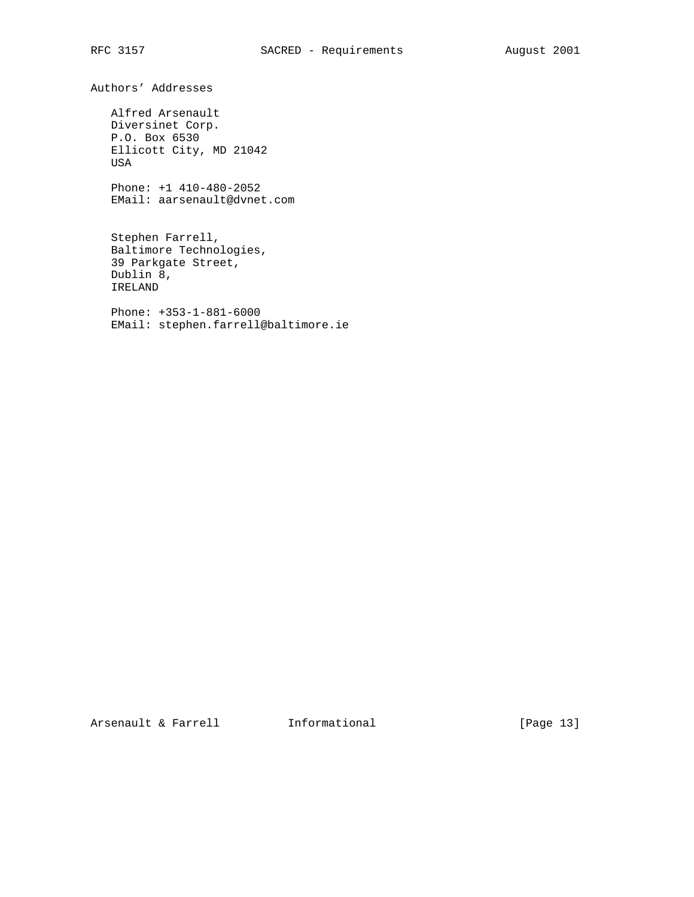Authors' Addresses

 Alfred Arsenault Diversinet Corp. P.O. Box 6530 Ellicott City, MD 21042 USA

 Phone: +1 410-480-2052 EMail: aarsenault@dvnet.com

 Stephen Farrell, Baltimore Technologies, 39 Parkgate Street, Dublin 8, IRELAND

 Phone: +353-1-881-6000 EMail: stephen.farrell@baltimore.ie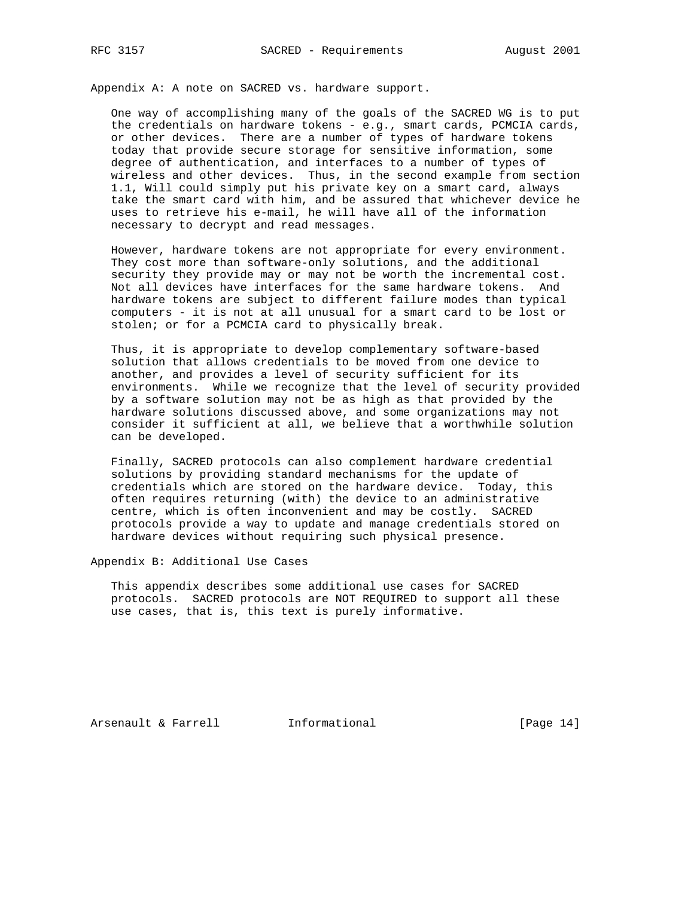Appendix A: A note on SACRED vs. hardware support.

 One way of accomplishing many of the goals of the SACRED WG is to put the credentials on hardware tokens - e.g., smart cards, PCMCIA cards, or other devices. There are a number of types of hardware tokens today that provide secure storage for sensitive information, some degree of authentication, and interfaces to a number of types of wireless and other devices. Thus, in the second example from section 1.1, Will could simply put his private key on a smart card, always take the smart card with him, and be assured that whichever device he uses to retrieve his e-mail, he will have all of the information necessary to decrypt and read messages.

 However, hardware tokens are not appropriate for every environment. They cost more than software-only solutions, and the additional security they provide may or may not be worth the incremental cost. Not all devices have interfaces for the same hardware tokens. And hardware tokens are subject to different failure modes than typical computers - it is not at all unusual for a smart card to be lost or stolen; or for a PCMCIA card to physically break.

 Thus, it is appropriate to develop complementary software-based solution that allows credentials to be moved from one device to another, and provides a level of security sufficient for its environments. While we recognize that the level of security provided by a software solution may not be as high as that provided by the hardware solutions discussed above, and some organizations may not consider it sufficient at all, we believe that a worthwhile solution can be developed.

 Finally, SACRED protocols can also complement hardware credential solutions by providing standard mechanisms for the update of credentials which are stored on the hardware device. Today, this often requires returning (with) the device to an administrative centre, which is often inconvenient and may be costly. SACRED protocols provide a way to update and manage credentials stored on hardware devices without requiring such physical presence.

Appendix B: Additional Use Cases

 This appendix describes some additional use cases for SACRED protocols. SACRED protocols are NOT REQUIRED to support all these use cases, that is, this text is purely informative.

Arsenault & Farrell **Informational** [Page 14]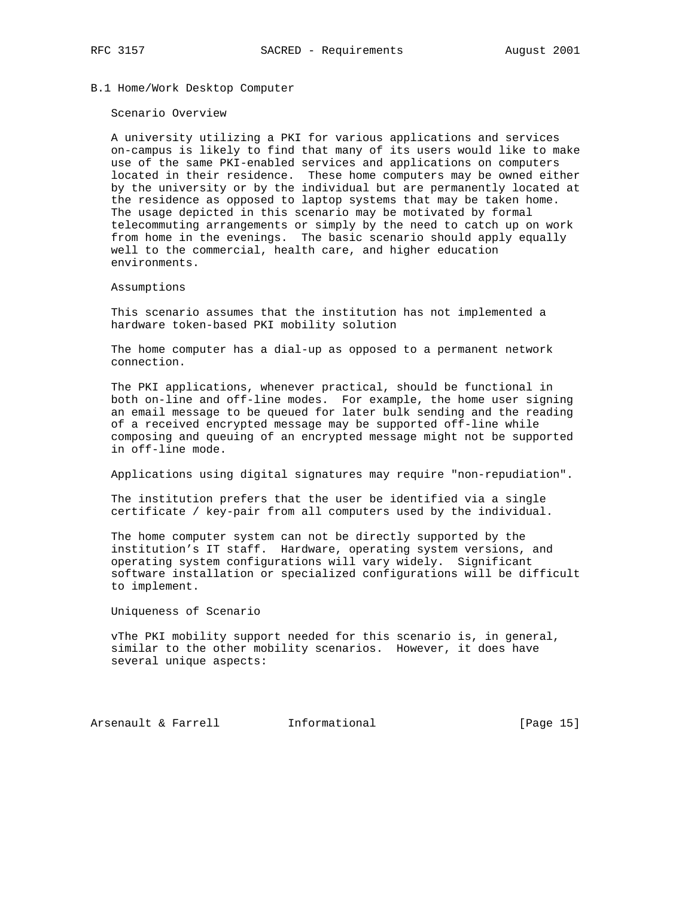B.1 Home/Work Desktop Computer

#### Scenario Overview

 A university utilizing a PKI for various applications and services on-campus is likely to find that many of its users would like to make use of the same PKI-enabled services and applications on computers located in their residence. These home computers may be owned either by the university or by the individual but are permanently located at the residence as opposed to laptop systems that may be taken home. The usage depicted in this scenario may be motivated by formal telecommuting arrangements or simply by the need to catch up on work from home in the evenings. The basic scenario should apply equally well to the commercial, health care, and higher education environments.

# Assumptions

 This scenario assumes that the institution has not implemented a hardware token-based PKI mobility solution

 The home computer has a dial-up as opposed to a permanent network connection.

 The PKI applications, whenever practical, should be functional in both on-line and off-line modes. For example, the home user signing an email message to be queued for later bulk sending and the reading of a received encrypted message may be supported off-line while composing and queuing of an encrypted message might not be supported in off-line mode.

Applications using digital signatures may require "non-repudiation".

 The institution prefers that the user be identified via a single certificate / key-pair from all computers used by the individual.

 The home computer system can not be directly supported by the institution's IT staff. Hardware, operating system versions, and operating system configurations will vary widely. Significant software installation or specialized configurations will be difficult to implement.

Uniqueness of Scenario

 vThe PKI mobility support needed for this scenario is, in general, similar to the other mobility scenarios. However, it does have several unique aspects:

Arsenault & Farrell **Informational** [Page 15]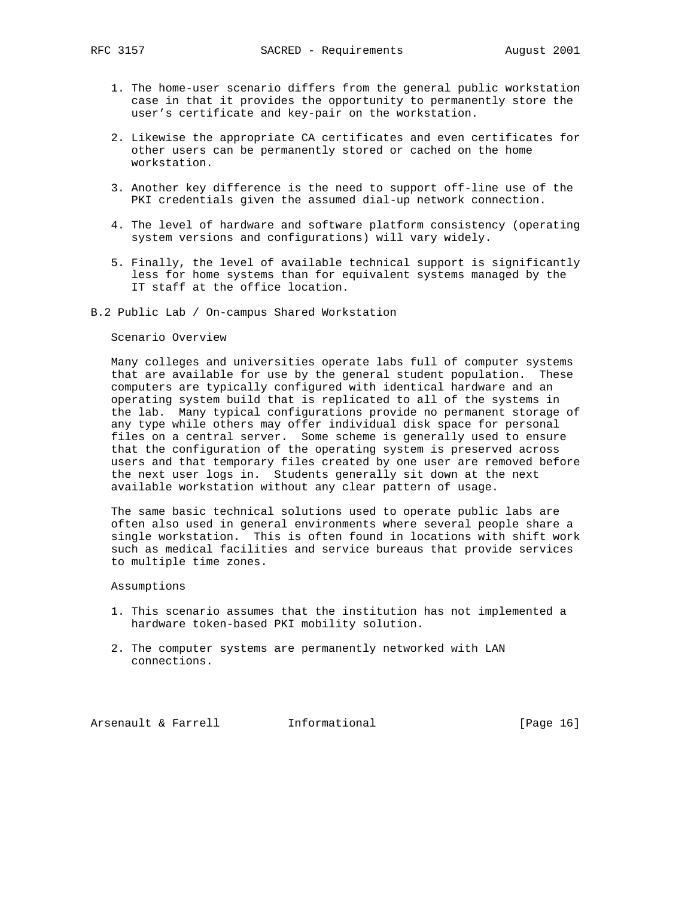- 1. The home-user scenario differs from the general public workstation case in that it provides the opportunity to permanently store the user's certificate and key-pair on the workstation.
- 2. Likewise the appropriate CA certificates and even certificates for other users can be permanently stored or cached on the home workstation.
- 3. Another key difference is the need to support off-line use of the PKI credentials given the assumed dial-up network connection.
- 4. The level of hardware and software platform consistency (operating system versions and configurations) will vary widely.
- 5. Finally, the level of available technical support is significantly less for home systems than for equivalent systems managed by the IT staff at the office location.
- B.2 Public Lab / On-campus Shared Workstation

### Scenario Overview

 Many colleges and universities operate labs full of computer systems that are available for use by the general student population. These computers are typically configured with identical hardware and an operating system build that is replicated to all of the systems in the lab. Many typical configurations provide no permanent storage of any type while others may offer individual disk space for personal files on a central server. Some scheme is generally used to ensure that the configuration of the operating system is preserved across users and that temporary files created by one user are removed before the next user logs in. Students generally sit down at the next available workstation without any clear pattern of usage.

 The same basic technical solutions used to operate public labs are often also used in general environments where several people share a single workstation. This is often found in locations with shift work such as medical facilities and service bureaus that provide services to multiple time zones.

### Assumptions

- 1. This scenario assumes that the institution has not implemented a hardware token-based PKI mobility solution.
- 2. The computer systems are permanently networked with LAN connections.

Arsenault & Farrell **Informational** [Page 16]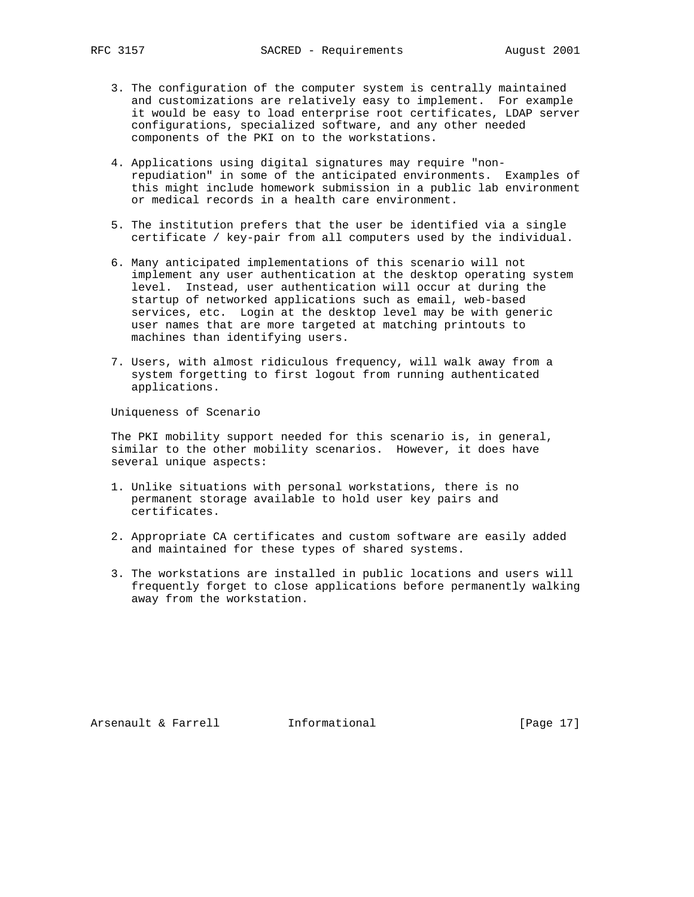- 3. The configuration of the computer system is centrally maintained and customizations are relatively easy to implement. For example it would be easy to load enterprise root certificates, LDAP server configurations, specialized software, and any other needed components of the PKI on to the workstations.
- 4. Applications using digital signatures may require "non repudiation" in some of the anticipated environments. Examples of this might include homework submission in a public lab environment or medical records in a health care environment.
- 5. The institution prefers that the user be identified via a single certificate / key-pair from all computers used by the individual.
- 6. Many anticipated implementations of this scenario will not implement any user authentication at the desktop operating system level. Instead, user authentication will occur at during the startup of networked applications such as email, web-based services, etc. Login at the desktop level may be with generic user names that are more targeted at matching printouts to machines than identifying users.
- 7. Users, with almost ridiculous frequency, will walk away from a system forgetting to first logout from running authenticated applications.

Uniqueness of Scenario

 The PKI mobility support needed for this scenario is, in general, similar to the other mobility scenarios. However, it does have several unique aspects:

- 1. Unlike situations with personal workstations, there is no permanent storage available to hold user key pairs and certificates.
- 2. Appropriate CA certificates and custom software are easily added and maintained for these types of shared systems.
- 3. The workstations are installed in public locations and users will frequently forget to close applications before permanently walking away from the workstation.

Arsenault & Farrell **Informational** [Page 17]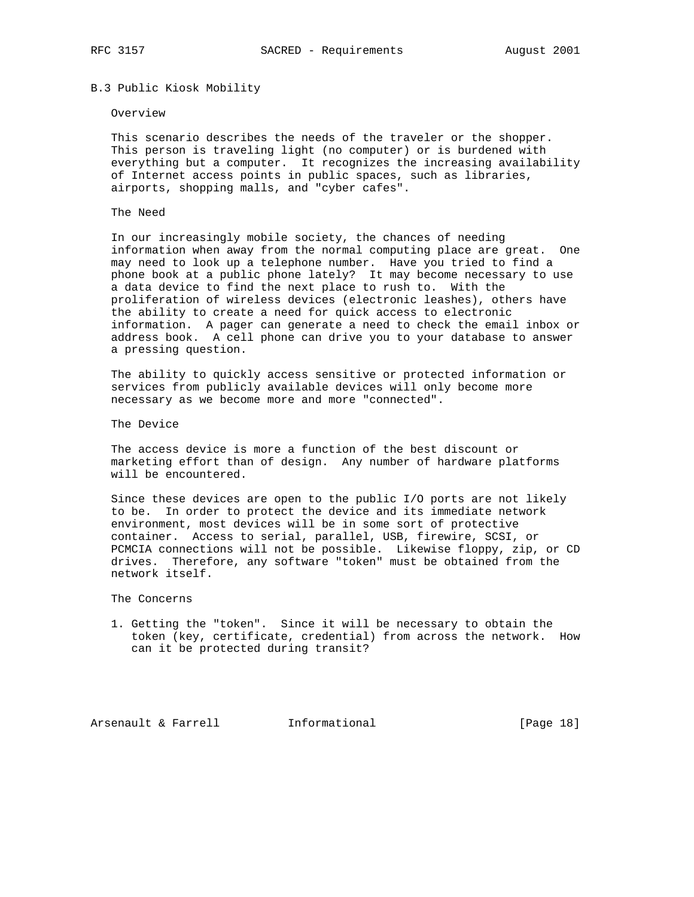# B.3 Public Kiosk Mobility

### Overview

 This scenario describes the needs of the traveler or the shopper. This person is traveling light (no computer) or is burdened with everything but a computer. It recognizes the increasing availability of Internet access points in public spaces, such as libraries, airports, shopping malls, and "cyber cafes".

## The Need

 In our increasingly mobile society, the chances of needing information when away from the normal computing place are great. One may need to look up a telephone number. Have you tried to find a phone book at a public phone lately? It may become necessary to use a data device to find the next place to rush to. With the proliferation of wireless devices (electronic leashes), others have the ability to create a need for quick access to electronic information. A pager can generate a need to check the email inbox or address book. A cell phone can drive you to your database to answer a pressing question.

 The ability to quickly access sensitive or protected information or services from publicly available devices will only become more necessary as we become more and more "connected".

The Device

 The access device is more a function of the best discount or marketing effort than of design. Any number of hardware platforms will be encountered.

 Since these devices are open to the public I/O ports are not likely to be. In order to protect the device and its immediate network environment, most devices will be in some sort of protective container. Access to serial, parallel, USB, firewire, SCSI, or PCMCIA connections will not be possible. Likewise floppy, zip, or CD drives. Therefore, any software "token" must be obtained from the network itself.

The Concerns

 1. Getting the "token". Since it will be necessary to obtain the token (key, certificate, credential) from across the network. How can it be protected during transit?

Arsenault & Farrell **Informational** [Page 18]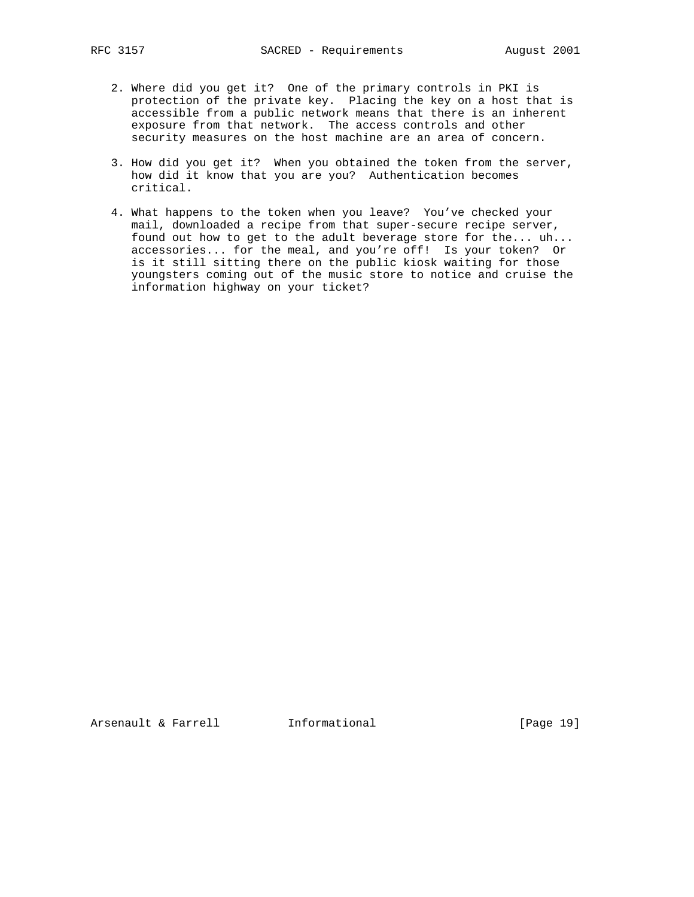- 2. Where did you get it? One of the primary controls in PKI is protection of the private key. Placing the key on a host that is accessible from a public network means that there is an inherent exposure from that network. The access controls and other security measures on the host machine are an area of concern.
- 3. How did you get it? When you obtained the token from the server, how did it know that you are you? Authentication becomes critical.
- 4. What happens to the token when you leave? You've checked your mail, downloaded a recipe from that super-secure recipe server, found out how to get to the adult beverage store for the... uh... accessories... for the meal, and you're off! Is your token? Or is it still sitting there on the public kiosk waiting for those youngsters coming out of the music store to notice and cruise the information highway on your ticket?